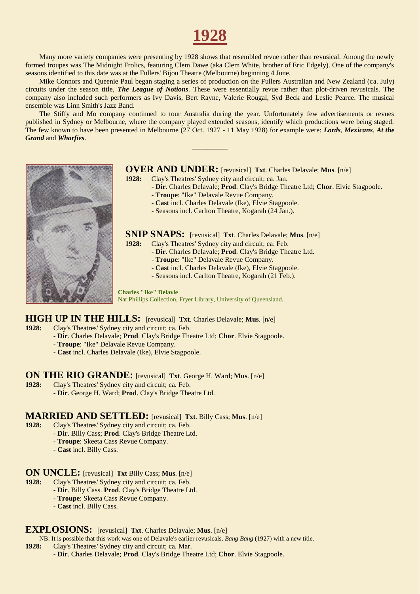# **1928**

Many more variety companies were presenting by 1928 shows that resembled revue rather than revusical. Among the newly formed troupes was The Midnight Frolics, featuring Clem Dawe (aka Clem White, brother of Eric Edgely). One of the company's seasons identified to this date was at the Fullers' Bijou Theatre (Melbourne) beginning 4 June.

Mike Connors and Queenie Paul began staging a series of production on the Fullers Australian and New Zealand (ca. July) circuits under the season title, *The League of Notions*. These were essentially revue rather than plot-driven revusicals. The company also included such performers as Ivy Davis, Bert Rayne, Valerie Rougal, Syd Beck and Leslie Pearce. The musical ensemble was Linn Smith's Jazz Band.

The Stiffy and Mo company continued to tour Australia during the year. Unfortunately few advertisements or revues published in Sydney or Melbourne, where the company played extended seasons, identify which productions were being staged. The few known to have been presented in Melbourne (27 Oct. 1927 - 11 May 1928) for example were: *Lords*, *Mexicans*, *At the Grand* and *Wharfies*.

\_\_\_\_\_\_\_\_\_\_



### **OVER AND UNDER:** [revusical] **Txt**. Charles Delavale; **Mus**. [n/e]

**1928:** Clay's Theatres' Sydney city and circuit; ca. Jan.

- **Dir**. Charles Delavale; **Prod**. Clay's Bridge Theatre Ltd; **Chor**. Elvie Stagpoole.
- **Troupe**: "Ike" Delavale Revue Company.
- **Cast** incl. Charles Delavale (Ike), Elvie Stagpoole.
- Seasons incl. Carlton Theatre, Kogarah (24 Jan.).

# **SNIP SNAPS:** [revusical] **Txt**. Charles Delavale; **Mus**. [n/e] **1928:** Clay's Theatres' Sydney city and circuit; ca. Feb.

- **1928:** Clay's Theatres' Sydney city and circuit; ca. Feb.
	- **Dir**. Charles Delavale; **Prod**. Clay's Bridge Theatre Ltd.
	- **Troupe**: "Ike" Delavale Revue Company.
	- **Cast** incl. Charles Delavale (Ike), Elvie Stagpoole.
	- Seasons incl. Carlton Theatre, Kogarah (21 Feb.).

#### **Charles "Ike" Delavle**

Nat Phillips Collection, Fryer Library, University of Queensland.

# **HIGH UP IN THE HILLS:** [revusical] **Txt**. Charles Delavale; Mus. [n/e] **1928:** Clay's Theatres' Sydney city and circuit; ca. Feb.

- **1928:** Clay's Theatres' Sydney city and circuit; ca. Feb.
	- **Dir**. Charles Delavale; **Prod**. Clay's Bridge Theatre Ltd; **Chor**. Elvie Stagpoole.
	- **Troupe**: "Ike" Delavale Revue Company.
	- **Cast** incl. Charles Delavale (Ike), Elvie Stagpoole.

#### **ON THE RIO GRANDE:** [revusical] **Txt**. George H. Ward; **Mus**. [n/e]

- **1928:** Clay's Theatres' Sydney city and circuit; ca. Feb.
	- **Dir**. George H. Ward; **Prod**. Clay's Bridge Theatre Ltd.

# **MARRIED AND SETTLED:** [revusical] **Txt**. Billy Cass; Mus. [n/e] 1928: Clav's Theatres' Sydney city and circuit: ca. Feb.

- **1928:** Clay's Theatres' Sydney city and circuit; ca. Feb.
	- **Dir**. Billy Cass; **Prod**. Clay's Bridge Theatre Ltd.
	- **Troupe**: Skeeta Cass Revue Company.
	- **Cast** incl. Billy Cass.

# **ON UNCLE:** [revusical] **Txt** Billy Cass; **Mus**. [n/e] **1928:** Clay's Theatres' Sydney city and circuit: ca. Feb.

- **1928:** Clay's Theatres' Sydney city and circuit; ca. Feb.
	- **Dir**. Billy Cass. **Prod**. Clay's Bridge Theatre Ltd.
		- **Troupe**: Skeeta Cass Revue Company.
	- **Cast** incl. Billy Cass.

#### **EXPLOSIONS:** [revusical] **Txt**. Charles Delavale; **Mus**. [n/e]

NB: It is possible that this work was one of Delavale's earlier revusicals, *Bang Bang* (1927) with a new title.

- **1928:** Clay's Theatres' Sydney city and circuit; ca. Mar.
	- **Dir**. Charles Delavale; **Prod**. Clay's Bridge Theatre Ltd; **Chor**. Elvie Stagpoole.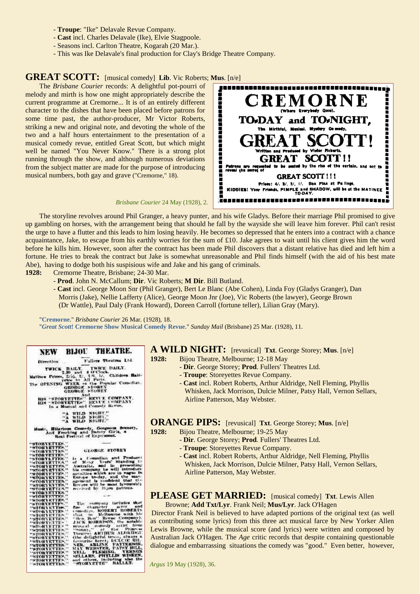- **Troupe**: "Ike" Delavale Revue Company.
- **Cast** incl. Charles Delavale (Ike), Elvie Stagpoole.
- Seasons incl. Carlton Theatre, Kogarah (20 Mar.).
- This was Ike Delavale's final production for Clay's Bridge Theatre Company.

### **GREAT SCOTT:** [musical comedy] **Lib**. Vic Roberts; **Mus**. [n/e]

The *Brisbane Courier* records: A delightful pot-pourri of melody and mirth is how one might appropriately describe the current programme at Cremorne... It is of an entirely different character to the dishes that have been placed before patrons for some time past, the author-producer, Mr Victor Roberts, striking a new and original note, and devoting the whole of the two and a half hours entertainment to the presentation of a musical comedy revue, entitled Great Scott, but which might well be named "You Never Know." There is a strong plot running through the show, and although numerous deviations from the subject matter are made for the purpose of introducing musical numbers, both gay and grave ("Cremorne," 18).

*Brisbane Courier* 24 May (1928), 2.



The storyline revolves around Phil Granger, a heavy punter, and his wife Gladys. Before their marriage Phil promised to give up gambling on horses, with the arrangement being that should he fall by the wayside she will leave him forever. Phil can't resist the urge to have a flutter and this leads to him losing heavily. He becomes so depressed that he enters into a contract with a chance acquaintance, Jake, to escape from his earthly worries for the sum of £10. Jake agrees to wait until his client gives him the word before he kills him. However, soon after the contract has been made Phil discovers that a distant relative has died and left him a fortune. He tries to break the contract but Jake is somewhat unreasonable and Phil finds himself (with the aid of his best mate Abe), having to dodge both his suspisious wife and Jake and his gang of criminals.

**1928:** Cremorne Theatre, Brisbane; 24-30 Mar.

- **Prod**. John N. McCallum; **Dir**. Vic Roberts; **M Dir**. Bill Butland.
- **Cast** incl. George Moon Snr (Phil Granger), Bert Le Blanc (Abe Cohen), Linda Foy (Gladys Granger), Dan Morris (Jake), Nellie Lafferty (Alice), George Moon Jnr (Joe), Vic Roberts (the lawyer), George Brown (Dr Wattle), Paul Daly (Frank Howard), Doreen Carroll (fortune teller), Lilian Gray (Mary).

"**[Cremorne](http://trove.nla.gov.au/ndp/del/article/21236402)**." *Brisbane Courier* 26 Mar. (1928), 18. "*Great Scott***[! Cremorne Show Musical Comedy Revue](http://trove.nla.gov.au/ndp/del/article/98226319)**." *Sunday Mail* (Brisbane) 25 Mar. (1928), 11.

|                                    |                                                         | NEW BIJOU THEATRE.                                                                                            |
|------------------------------------|---------------------------------------------------------|---------------------------------------------------------------------------------------------------------------|
| Direction                          |                                                         | Fullers Theatres Ltd.                                                                                         |
|                                    |                                                         |                                                                                                               |
|                                    |                                                         |                                                                                                               |
|                                    |                                                         | The OPENING WEEK of the Popular Comediat.                                                                     |
|                                    | <b>GROBUE STOREY</b>                                    |                                                                                                               |
|                                    | And                                                     |                                                                                                               |
|                                    |                                                         | HIS "STORYETTES" REVUE COMPANY.<br>HIS STORYETTES" REVUE COMPANY<br>In a Musical and Comedy Revue,            |
|                                    | "A WILD NIGHT."                                         |                                                                                                               |
|                                    | WILD NIGHT.<br>$\Lambda^{\prime\prime}$<br>$\mathbf{A}$ |                                                                                                               |
|                                    |                                                         | Music, Hilarious Comedy, Gorgeous Scenery.<br>And Frocking and Datoty Girls, a<br>Real Festival of Enjoyment. |
| "STORYETTES."                      |                                                         |                                                                                                               |
| "STORYETTES.<br>"STORYETTES."      |                                                         | <b>GEORGE STOREY</b>                                                                                          |
| "STORYETTES."<br>"STORYETTES.      | S.                                                      | Is a Comedian and Produces                                                                                    |
| "STORYETTER"                       |                                                         |                                                                                                               |
| "STORYETTES."<br>"STORYETTES."     |                                                         | of Mony Years' Standing to<br>Australia, and in presenting<br>his company he will introduce                   |
| "STORYETTES."<br>"STORYETTES."     |                                                         | novelties which are in vogue in<br>Europe to-day, and the man-                                                |
| "STORYETTES."                      |                                                         | agement is confident that the<br>Revues will be most favourably                                               |
| "STORYETTEN"<br>"NTORYETTER."      |                                                         | received by litten patrons.                                                                                   |
| "STORYETTEX"<br>"NIORYKTTES."      |                                                         |                                                                                                               |
| "STORYETTES."                      | --                                                      |                                                                                                               |
| "STORYFTYS.<br>"STORYETTES.        | s.                                                      | The company includes that<br>fine clearacter urtor and                                                        |
| <b>STORYETTES</b><br>"STORYETTES." |                                                         | Comedian, ROBERT ROBERTS                                                                                      |
| "STORYETTES."                      |                                                         | that in Melbourne with his                                                                                    |
| "STORYETTE-<br>"STORYETTES"        |                                                         | JACK MORRISON, the notable                                                                                    |
| "STORYETTES."                      |                                                         | musical comedy natist from                                                                                    |
| "STORYETTES."<br>"STORYETTES."     |                                                         | Theatre: AHTHUR ALDRIDGE                                                                                      |
| "STORYETTES."                      |                                                         | (the delightful tenor, clways a                                                                               |
| "STORYETTES."<br>"*TONYETTES."     | <b>MAY</b>                                              | NER, ARLINE PATTERSON.                                                                                        |
| "STORYKTTES."                      |                                                         | NELL PLEMING, VERNON                                                                                          |
| "STORYETTES."                      | a.                                                      | SELLARS, PHYLLIS WISKEN.<br>and others, including slee the                                                    |
| "STORYETTES.<br>"STORYETTES."      |                                                         | "STORVETTE" BALLET.                                                                                           |

**A WILD NIGHT:** [revusical] **Txt**. George Storey; **Mus**. [n/e]

**1928:** Bijou Theatre, Melbourne; 12-18 May

- **Dir**. George Storey; **Prod**. Fullers' Theatres Ltd.
- **Troupe**: Storeyettes Revue Company.
- **Cast** incl. Robert Roberts, Arthur Aldridge, Nell Fleming, Phyllis Whisken, Jack Morrison, Dulcie Milner, Patsy Hall, Vernon Sellars, Airline Patterson, May Webster.

**ORANGE PIPS:** [revusical] **Txt**. George Storey; **Mus**. [n/e]

- **1928:** Bijou Theatre, Melbourne; 19-25 May
	- **Dir**. George Storey; **Prod**. Fullers' Theatres Ltd.
	- **Troupe**: Storeyettes Revue Company.
	- **Cast** incl. Robert Roberts, Arthur Aldridge, Nell Fleming, Phyllis Whisken, Jack Morrison, Dulcie Milner, Patsy Hall, Vernon Sellars, Airline Patterson, May Webster.

#### **PLEASE GET MARRIED:** [musical comedy] **Txt**. Lewis Allen Browne; **Add Txt/Lyr**. Frank Neil; **Mus/Lyr**. Jack O'Hagen

Director Frank Neil is believed to have adapted portions of the original text (as well as contributing some lyrics) from this three act musical farce by New Yorker Allen Lewis Browne, while the musical score (and lyrics) were written and composed by Australian Jack O'Hagen. The *Age* critic records that despite containing questionable dialogue and embarrassing situations the comedy was "good." Even better, however,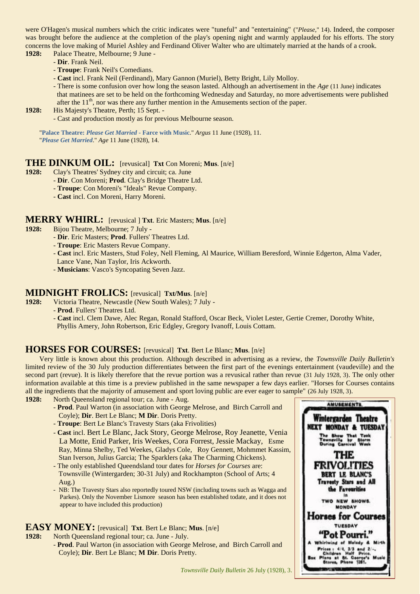were O'Hagen's musical numbers which the critic indicates were "tuneful" and "entertaining" ("*Please*," 14). Indeed, the composer was brought before the audience at the completion of the play's opening night and warmly applauded for his efforts. The story concerns the love making of Muriel Ashley and Ferdinand Oliver Walter who are ultimately married at the hands of a crook. **1928:** Palace Theatre, Melbourne; 9 June -

- **Dir**. Frank Neil.
- **Troupe**: Frank Neil's Comedians.
- **Cast** incl. Frank Neil (Ferdinand), Mary Gannon (Muriel), Betty Bright, Lily Molloy.
- There is some confusion over how long the season lasted. Although an advertisement in the *Age* (11 June) indicates that matinees are set to be held on the forthcoming Wednesday and Saturday, no more advertisements were published after the  $11<sup>th</sup>$ , nor was there any further mention in the Amusements section of the paper.
- **1928:** His Majesty's Theatre, Perth; 15 Sept.
	- Cast and production mostly as for previous Melbourne season.

"**Palace Theatre:** *[Please Get Married](http://trove.nla.gov.au/ndp/del/article/3933157)* **- Farce with Music**." *Argus* 11 June (1928), 11. "*[Please Get Married](http://trove.nla.gov.au/ndp/del/page/18866616)*." *Age* 11 June (1928), 14.

#### **THE DINKUM OIL:** [revusical] **Txt** Con Moreni; **Mus**. [n/e]

- **1928:** Clay's Theatres' Sydney city and circuit; ca. June
	- **Dir**. Con Moreni; **Prod**. Clay's Bridge Theatre Ltd.
	- **Troupe**: Con Moreni's "Ideals" Revue Company.
	- **Cast** incl. Con Moreni, Harry Moreni.

# **MERRY WHIRL:** [revusical ] **Txt**. Eric Masters; **Mus.** [n/e] **1928:** Bijou Theatre. Melbourne: 7 July -

- **1928:** Bijou Theatre, Melbourne; 7 July
	- **Dir**. Eric Masters; **Prod**. Fullers' Theatres Ltd.
	- **Troupe**: Eric Masters Revue Company.
	- **Cast** incl. Eric Masters, Stud Foley, Nell Fleming, Al Maurice, William Beresford, Winnie Edgerton, Alma Vader,
	- Lance Vane, Nan Taylor, Iris Ackworth.
	- **Musicians**: Vasco's Syncopating Seven Jazz.

# **MIDNIGHT FROLICS:** [revusical] **Txt/Mus**. [n/e] 1928: Victoria Theatre. Newcastle (New South Wales): 7 Jul

- **1928:** Victoria Theatre, Newcastle (New South Wales); 7 July
	- **Prod**. Fullers' Theatres Ltd.

- **Cast** incl. Clem Dawe, Alec Regan, Ronald Stafford, Oscar Beck, Violet Lester, Gertie Cremer, Dorothy White, Phyllis Amery, John Robertson, Eric Edgley, Gregory Ivanoff, Louis Cottam.

### **HORSES FOR COURSES:** [revusical] **Txt**. Bert Le Blanc; **Mus**. [n/e]

Very little is known about this production. Although described in advertising as a review, the *Townsville Daily Bulletin's* limited review of the 30 July production differentiates between the first part of the evenings entertainment (vaudeville) and the second part (revue). It is likely therefore that the revue portion was a revusical rather than revue (31 July 1928, 3). The only other information available at this time is a preview published in the same newspaper a few days earlier. "Horses for Courses contains all the ingredients that the majority of amusement and sport loving public are ever eager to sample" (26 July 1928, 3).

- **1928:** North Queensland regional tour; ca. June Aug.
	- **Prod**. Paul Warton (in association with George Melrose, and Birch Carroll and Coyle); **Dir**. Bert Le Blanc; **M Dir**. Doris Pretty.
	- **Troupe**: Bert Le Blanc's Travesty Stars (aka Frivolities)
	- **Cast** incl. Bert Le Blanc, Jack Story, George Melrose, Roy Jeanette, Venia La Motte, Enid Parker, Iris Weekes, Cora Forrest, Jessie Mackay, Esme Ray, Minna Shelby, Ted Weekes, Gladys Cole, Roy Gennett, Mohmmet Kassim, Stan Iverson, Julius Garcia; The Sparklers (aka The Charming Chickens).
	- The only established Queendsland tour dates for *Horses for Courses* are: Townsville (Wintergarden; 30-31 July) and Rockhampton (School of Arts; 4 Aug.)
	- NB: The Travesty Stars also reportedly toured NSW (including towns such as Wagga and Parkes). Only the November Lismore season has been established todate, and it does not appear to have included this production)

### **EASY MONEY:** [revusical] **Txt**. Bert Le Blanc; **Mus**. [n/e]

**1928:** North Queensland regional tour; ca. June - July. - **Prod**. Paul Warton (in association with George Melrose, and Birch Carroll and Coyle); **Dir**. Bert Le Blanc; **M Dir**. Doris Pretty.

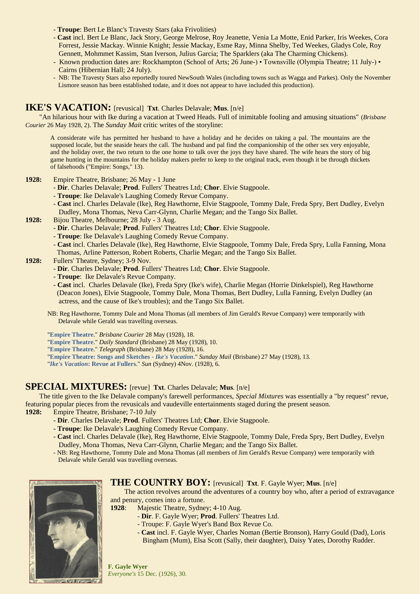- **Troupe**: Bert Le Blanc's Travesty Stars (aka Frivolities)
- **Cast** incl. Bert Le Blanc, Jack Story, George Melrose, Roy Jeanette, Venia La Motte, Enid Parker, Iris Weekes, Cora Forrest, Jessie Mackay. Winnie Knight; Jessie Mackay, Esme Ray, Minna Shelby, Ted Weekes, Gladys Cole, Roy Gennett, Mohmmet Kassim, Stan Iverson, Julius Garcia; The Sparklers (aka The Charming Chickens).
- Known production dates are: Rockhampton (School of Arts; 26 June-) Townsville (Olympia Theatre; 11 July-) Cairns (Hibernian Hall; 24 July).
- NB: The Travesty Stars also reportedly toured NewSouth Wales (including towns such as Wagga and Parkes). Only the November Lismore season has been established todate, and it does not appear to have included this production).

# **IKE'S VACATION:** [revusical] **Txt**. Charles Delavale; **Mus**. [n/e]

"An hilarious hour with Ike during a vacation at Tweed Heads. Full of inimitable fooling and amusing situations" (*Brisbane Courier* 26 May 1928, 2). The *Sunday Mait* critic writes of the storyline:

A considerate wife has permitted her husband to have a holiday and he decides on taking a pal. The mountains are the supposed locale, but the seaside hears the call. The husband and pal find the companionship of the other sex very enjoyable, and the holiday over, the two return to the one home to talk over the joys they have shared. The wife hears the story of big game hunting in the mountains for the holiday makers prefer to keep to the original track, even though it be through thickets of falsehoods ("Empire: Songs," 13).

- **1928:** Empire Theatre, Brisbane; 26 May 1 June
	- **Dir**. Charles Delavale; **Prod**. Fullers' Theatres Ltd; **Chor**. Elvie Stagpoole.
	- **Troupe**: Ike Delavale's Laughing Comedy Revue Company.
	- **Cast** incl. Charles Delavale (Ike), Reg Hawthorne, Elvie Stagpoole, Tommy Dale, Freda Spry, Bert Dudley, Evelyn Dudley, Mona Thomas, Neva Carr-Glynn, Charlie Megan; and the Tango Six Ballet.
- **1928:** Bijou Theatre, Melbourne; 28 July 3 Aug.
	- **Dir**. Charles Delavale; **Prod**. Fullers' Theatres Ltd; **Chor**. Elvie Stagpoole.
	- **Troupe**: Ike Delavale's Laughing Comedy Revue Company.
	- **Cast** incl. Charles Delavale (Ike), Reg Hawthorne, Elvie Stagpoole, Tommy Dale, Freda Spry, Lulla Fanning, Mona Thomas, Arline Patterson, Robert Roberts, Charlie Megan; and the Tango Six Ballet.
- **1928:** Fullers' Theatre, Sydney; 3-9 Nov.
	- **Dir**. Charles Delavale; **Prod**. Fullers' Theatres Ltd; **Chor**. Elvie Stagpoole.
	- **Troupe**: Ike Delavale's Revue Company.
	- **Cast** incl. Charles Delavale (Ike), Freda Spry (Ike's wife), Charlie Megan (Horrie Dinkelspiel), Reg Hawthorne (Deacon Jones), Elvie Stagpoole, Tommy Dale, Mona Thomas, Bert Dudley, Lulla Fanning, Evelyn Dudley (an actress, and the cause of Ike's troubles); and the Tango Six Ballet.
	- NB: Reg Hawthorne, Tommy Dale and Mona Thomas (all members of Jim Gerald's Revue Company) were temporarily with Delavale while Gerald was travelling overseas.

"**[Empire Theatre](http://trove.nla.gov.au/newspaper/article/21291245)**." *Brisbane Courier* 28 May (1928), 18.

"**[Empire Theatre](http://trove.nla.gov.au/newspaper/article/178949072)**." *Daily Standard* (Brisbane) 28 May (1928), 10.

"**[Empire Theatre](http://trove.nla.gov.au/newspaper/article/179722616)**." *Telegraph* (Brisbane) 28 May (1928), 16.

"**[Empire Theatre: Songs and Sketches -](http://trove.nla.gov.au/newspaper/article/100132265)** *Ike's Vacation*." *Sunday Mail* (Brisbane) 27 May (1928), 13.

"*Ike's Vacation***[: Revue at Fullers](http://trove.nla.gov.au/newspaper/article/223241440)**." *Sun* (Sydney) 4Nov. (1928), 6.

### **SPECIAL MIXTURES:** [revue] **Txt**. Charles Delavale; **Mus**. [n/e]

The title given to the Ike Delavale company's farewell performances, *Special Mixtures* was essentially a "by request" revue, featuring popular pieces from the revusicals and vaudeville entertainments staged during the present season.

- **1928:** Empire Theatre, Brisbane; 7-10 July
	- **Dir**. Charles Delavale; **Prod**. Fullers' Theatres Ltd; **Chor**. Elvie Stagpoole.
	- **Troupe**: Ike Delavale's Laughing Comedy Revue Company.
	- **Cast** incl. Charles Delavale (Ike), Reg Hawthorne, Elvie Stagpoole, Tommy Dale, Freda Spry, Bert Dudley, Evelyn Dudley, Mona Thomas, Neva Carr-Glynn, Charlie Megan; and the Tango Six Ballet.
	- NB: Reg Hawthorne, Tommy Dale and Mona Thomas (all members of Jim Gerald's Revue Company) were temporarily with Delavale while Gerald was travelling overseas.



#### **THE COUNTRY BOY:** [revusical] **Txt**. F. Gayle Wyer; **Mus**. [n/e]

The action revolves around the adventures of a country boy who, after a period of extravagance and penury, comes into a fortune.

- **1928**: Majestic Theatre, Sydney; 4-10 Aug.
	- **Dir**. F. Gayle Wyer; **Prod**. Fullers' Theatres Ltd.
	- Troupe: F. Gayle Wyer's Band Box Revue Co.
	- **Cast** incl. F. Gayle Wyer, Charles Noman (Bertie Bronson), Harry Gould (Dad), Loris Bingham (Mum), Elsa Scott (Sally, their daughter), Daisy Yates, Dorothy Rudder.

**F. Gayle Wyer** *Everyone's* 15 Dec. (1926), 30.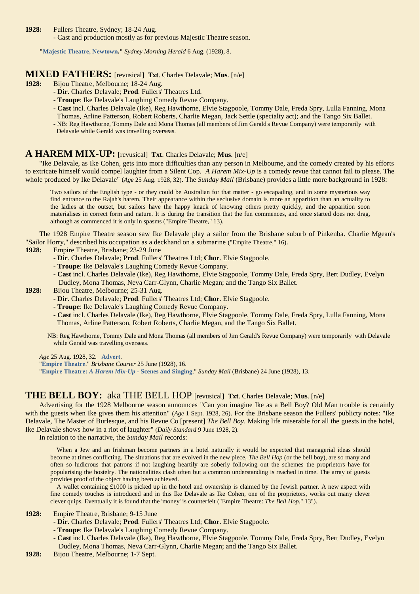**1928:** Fullers Theatre, Sydney; 18-24 Aug.

- Cast and production mostly as for previous Majestic Theatre season.

**["Majestic Theatre, Newtown.](http://trove.nla.gov.au/ndp/del/article/16484480)"** *Sydney Morning Herald* 6 Aug. (1928), 8.

# **MIXED FATHERS:** [revusical] **Txt**. Charles Delavale; Mus. [n/e] 1928: Bijou Theatre. Melbourne: 18-24 Aug.

**1928:** Bijou Theatre, Melbourne; 18-24 Aug.

- **Dir**. Charles Delavale; **Prod**. Fullers' Theatres Ltd.
- **Troupe**: Ike Delavale's Laughing Comedy Revue Company.
- **Cast** incl. Charles Delavale (Ike), Reg Hawthorne, Elvie Stagpoole, Tommy Dale, Freda Spry, Lulla Fanning, Mona Thomas, Arline Patterson, Robert Roberts, Charlie Megan, Jack Settle (specialty act); and the Tango Six Ballet. - NB: Reg Hawthorne, Tommy Dale and Mona Thomas (all members of Jim Gerald's Revue Company) were temporarily with
- Delavale while Gerald was travelling overseas.

### **A HAREM MIX-UP:** [revusical] **Txt**. Charles Delavale; **Mus**. [n/e]

"Ike Delavale, as Ike Cohen, gets into more difficulties than any person in Melbourne, and the comedy created by his efforts to extricate himself would compel laughter from a Silent Cop. *A Harem Mix-Up* is a comedy revue that cannot fail to please. The whole produced by Ike Delavale" (*Age* 25 Aug. 1928, 32). The *Sunday Mail* (Brisbane) provides a little more background in 1928:

Two sailors of the English type - or they could be Australian for that matter - go escapading, and in some mysterious way find entrance to the Rajah's harem. Their appearance within the seclusive domain is more an apparition than an actuality to the ladies at the outset, but sailors have the happy knack of knowing others pretty quickly, and the apparition soon materialises in correct form and nature. It is during the transition that the fun commences, and once started does not drag, although as commenced it is only in spasms ("Empire Theatre," 13).

The 1928 Empire Theatre season saw Ike Delavale play a sailor from the Brisbane suburb of Pinkenba. Charlie Mgean's "Sailor Horry," described his occupation as a deckhand on a submarine ("Empire Theatre," 16).

#### **1928:** Empire Theatre, Brisbane; 23-29 June

- **Dir**. Charles Delavale; **Prod**. Fullers' Theatres Ltd; **Chor**. Elvie Stagpoole.
- **Troupe**: Ike Delavale's Laughing Comedy Revue Company.
- **Cast** incl. Charles Delavale (Ike), Reg Hawthorne, Elvie Stagpoole, Tommy Dale, Freda Spry, Bert Dudley, Evelyn Dudley, Mona Thomas, Neva Carr-Glynn, Charlie Megan; and the Tango Six Ballet.
- **1928:** Bijou Theatre, Melbourne; 25-31 Aug.
	- **Dir**. Charles Delavale; **Prod**. Fullers' Theatres Ltd; **Chor**. Elvie Stagpoole.
	- **Troupe**: Ike Delavale's Laughing Comedy Revue Company.
	- **Cast** incl. Charles Delavale (Ike), Reg Hawthorne, Elvie Stagpoole, Tommy Dale, Freda Spry, Lulla Fanning, Mona Thomas, Arline Patterson, Robert Roberts, Charlie Megan, and the Tango Six Ballet.

NB: Reg Hawthorne, Tommy Dale and Mona Thomas (all members of Jim Gerald's Revue Company) were temporarily with Delavale while Gerald was travelling overseas.

*Age* 25 Aug. 1928, 32. **[Advert](http://trove.nla.gov.au/newspaper/page/18867874)**.

"**[Empire Theatre](http://trove.nla.gov.au/newspaper/article/21300198)**." *Brisbane Courier* 25 June (1928), 16.

"**Empire Theatre:** *A Harem Mix-Up* **- [Scenes and Singing](http://trove.nla.gov.au/newspaper/article/100132840)**." *Sunday Mail* (Brisbane) 24 June (1928), 13.

#### **THE BELL BOY:** aka THE BELL HOP [revusical] **Txt**. Charles Delavale; **Mus**. [n/e]

Advertising for the 1928 Melbourne season announces "Can you imagine Ike as a Bell Boy? Old Man trouble is certainly with the guests when Ike gives them his attention" (*Age* 1 Sept. 1928, 26). For the Brisbane season the Fullers' publicty notes: "Ike Delavale, The Master of Burlesque, and his Revue Co [present] *The Bell Boy*. Making life miserable for all the guests in the hotel, Ike Delavale shows how in a riot of laughter" (*Daily Standard* 9 June 1928, 2).

In relation to the narrative, the *Sunday Mail* records:

 When a Jew and an Irishman become partners in a hotel naturally it would be expected that managerial ideas should become at times conflicting. The situations that are evolved in the new piece, *The Bell Hop* (or the bell boy), are so many and often so ludicrous that patrons if not laughing heartily are soberly following out the schemes the proprietors have for popularising the hostelry. The nationalities clash often but a common understanding is reached in time. The array of guests provides proof of the object having been achieved.

A wallet containing  $\pounds 1000$  is picked up in the hotel and ownership is claimed by the Jewish partner. A new aspect with fine comedy touches is introduced and in this Ike Delavale as Ike Cohen, one of the proprietors, works out many clever clever quips. Eventually it is found that the 'money' is counterfeit ("Empire Theatre: *The Bell Hop*," 13").

**1928:** Empire Theatre, Brisbane; 9-15 June

- **Dir**. Charles Delavale; **Prod**. Fullers' Theatres Ltd; **Chor**. Elvie Stagpoole.
- **Troupe**: Ike Delavale's Laughing Comedy Revue Company.
- **Cast** incl. Charles Delavale (Ike), Reg Hawthorne, Elvie Stagpoole, Tommy Dale, Freda Spry, Bert Dudley, Evelyn Dudley, Mona Thomas, Neva Carr-Glynn, Charlie Megan; and the Tango Six Ballet.
- **1928:** Bijou Theatre, Melbourne; 1-7 Sept.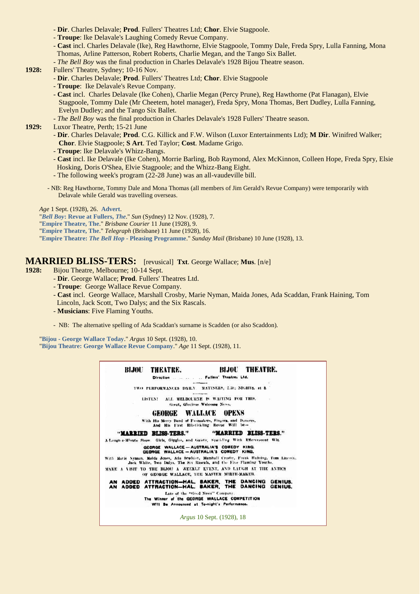- **Dir**. Charles Delavale; **Prod**. Fullers' Theatres Ltd; **Chor**. Elvie Stagpoole.
- **Troupe**: Ike Delavale's Laughing Comedy Revue Company.
- **Cast** incl. Charles Delavale (Ike), Reg Hawthorne, Elvie Stagpoole, Tommy Dale, Freda Spry, Lulla Fanning, Mona Thomas, Arline Patterson, Robert Roberts, Charlie Megan, and the Tango Six Ballet.
- *The Bell Boy* was the final production in Charles Delavale's 1928 Bijou Theatre season.
- **1928:** Fullers' Theatre, Sydney; 10-16 Nov.
	- **Dir**. Charles Delavale; **Prod**. Fullers' Theatres Ltd; **Chor**. Elvie Stagpoole
	- **Troupe**: Ike Delavale's Revue Company.
	- **Cast** incl. Charles Delavale (Ike Cohen), Charlie Megan (Percy Prune), Reg Hawthorne (Pat Flanagan), Elvie Stagpoole, Tommy Dale (Mr Cheetem, hotel manager), Freda Spry, Mona Thomas, Bert Dudley, Lulla Fanning, Evelyn Dudley; and the Tango Six Ballet.
	- *The Bell Boy* was the final production in Charles Delavale's 1928 Fullers' Theatre season.

**1929:** Luxor Theatre, Perth; 15-21 June

- **Dir**. Charles Delavale; **Prod**. C.G. Killick and F.W. Wilson (Luxor Entertainments Ltd); **M Dir**. Winifred Walker; **Chor**. Elvie Stagpoole; **S Art**. Ted Taylor; **Cost**. Madame Grigo.
- **Troupe**: Ike Delavale's Whizz-Bangs.
- **Cast** incl. Ike Delavale (Ike Cohen), Morrie Barling, Bob Raymond, Alex McKinnon, Colleen Hope, Freda Spry, Elsie Hosking, Doris O'Shea, Elvie Stagpoole; and the Whizz-Bang Eight.
- The following week's program (22-28 June) was an all-vaudeville bill.
- NB: Reg Hawthorne, Tommy Dale and Mona Thomas (all members of Jim Gerald's Revue Company) were temporarily with Delavale while Gerald was travelling overseas.

*Age* 1 Sept. (1928), 26. **[Advert](http://trove.nla.gov.au/newspaper/page/18867986)**.

"*Bell Boy***[: Revue at Fullers,](http://trove.nla.gov.au/newspaper/article/223245946)** *The*." *Sun* (Sydney) 12 Nov. (1928), 7.

- "**[Empire Theatre, The](http://trove.nla.gov.au/newspaper/article/21295483)**." *Brisbane Courier* 11 June (1928), 9.
- "**[Empire Theatre, The](http://trove.nla.gov.au/newspaper/article/178671844)**." *Telegraph* (Brisbane) 11 June (1928), 16.

"**Empire Theatre:** *The Bell Hop* **- [Pleasing Programme](http://trove.nla.gov.au/newspaper/article/100128028)**." *Sunday Mail* (Brisbane) 10 June (1928), 13.

#### **MARRIED BLISS-TERS:** [revusical] **Txt**. George Wallace; **Mus**. [n/e]

**1928:** Bijou Theatre, Melbourne; 10-14 Sept.

- **Dir**. George Wallace; **Prod**. Fullers' Theatres Ltd.
- **Troupe**: George Wallace Revue Company.
- **Cast** incl. George Wallace, Marshall Crosby, Marie Nyman, Maida Jones, Ada Scaddan, Frank Haining, Tom Lincoln, Jack Scott, Two Dalys; and the Six Rascals.
- **Musicians**: Five Flaming Youths.
- NB: The alternative spelling of Ada Scaddan's surname is Scadden (or also Scaddon).

"**Bijou - [George Wallace Today](http://trove.nla.gov.au/ndp/del/article/3955841)**." *Argus* 10 Sept. (1928), 10.

"**[Bijou Theatre: George Wallace Revue Company](http://trove.nla.gov.au/ndp/del/page/18868134)**." *Age* 11 Sept. (1928), 11.

BLJOU **BIJOU THEATRE. THEATRE.** Direction ...... .. Fullers' Theatres Ltd. TWO PERFORMANCES DAILY. MATINEES, 2.30; NIGHTS, at 8. LISTEN! ALL MELBOURNE IS WAITING FOR THIS. Great, Glorious Welcome News. **GEORGE WALLACE OPENS** With His Merry Band of Funnakers, Singers, and Drucers, And His First Rib-tickling Revue Will be-"MARRIED BLISS-TERS." "MARRIED BLISS-TERS." A-Laugh-a-Minute Show. Girls, Giggles, and Galety, Spatkling With Efferencent Wit. GEORGE WALLACE - AUSTRALIA'S COMEDY KING.<br>GEORGE WALLACE - AUSTRALIA'S COMEDY KING. With Marie Syman, Midd Jones, Ada Seadden, Marshall Croeby, Frank Halning, Tom Lincoln, Jack White, Two Dalys, The Six Rascals, and the Five Flaming Youths. MAKE A VISIT TO THE BIJOU A WEEKLY EVENT, AND LAUGH AT THE ANTICS OF GEORGE WALLACE, THE MASTER MIRTH-MAKER. AN ADDED ATTRACTION-HAL. BAKER, THE DANCING GENIUS.<br>AN ADDED ATTRACTION-HAL. BAKER, THE DANCING GENIUS. Late of the "Good News" Company The Winner of the GEORGE WALLACE COMPETITION Will Be Announced at To-night's Performance. *Argus* 10 Sept. (1928), 18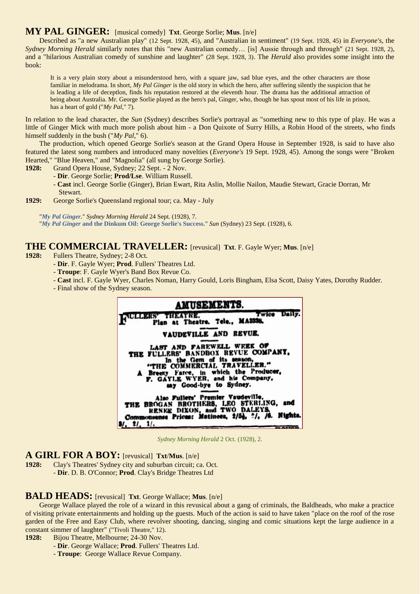### **MY PAL GINGER:** [musical comedy] **Txt**. George Sorlie; **Mus**. [n/e]

Described as "a new Australian play" (12 Sept. 1928, 45), and "Australian in sentiment" (19 Sept. 1928, 45) in *Everyone's*, the *Sydney Morning Herald* similarly notes that this "new Australian comedy… [is] Aussie through and through" (21 Sept. 1928, 2), and a "hilarious Australian comedy of sunshine and laughter" (28 Sept. 1928, 3). The *Herald* also provides some insight into the book:

It is a very plain story about a misunderstood hero, with a square jaw, sad blue eyes, and the other characters are those familiar in melodrama. In short, *My Pal Ginger* is the old story in which the hero, after suffering silently the suspicion that he is leading a life of deceptlon, finds his reputation restored at the eleventh hour. The drama has the additional attraction of being about Australia. Mr. George Sorlie played as the hero's pal, Ginger, who, though he has spout most of his life in prison, has a heart of gold ("*My Pal*," 7).

In relation to the lead character, the *Sun* (Sydney) describes Sorlie's portrayal as "something new to this type of play. He was a little of Ginger Mick with much more polish about him - a Don Quixote of Surry Hills, a Robin Hood of the streets, who finds himself suddenly in the bush ("*My Pal*," 6).

The production, which opened George Sorlie's season at the Grand Opera House in September 1928, is said to have also featured the latest song numbers and introduced many novelties (*Everyone's* 19 Sept. 1928, 45). Among the songs were "Broken Hearted," "Blue Heaven," and "Magnolia" (all sung by George Sorlie).

- **1928:** Grand Opera House, Sydney; 22 Sept. 2 Nov.
	- **Dir**. George Sorlie; **Prod/Lse**. William Russell.
	- **Cast** incl. George Sorlie (Ginger), Brian Ewart, Rita Aslin, Mollie Nailon, Maudie Stewart, Gracie Dorran, Mr Stewart.
- **1929:** George Sorlie's Queensland regional tour; ca. May July

"*[My Pal Ginger](http://trove.nla.gov.au/ndp/del/page/1199476)*." *Sydney Morning Herald* 24 Sept. (1928), 7.

"*My Pal Ginger* **[and the Dinkum Oil: George Sorlie's Success](http://nla.gov.au/nla.news-article224687370)**." *Sun* (Sydney) 23 Sept. (1928), 6.

#### **THE COMMERCIAL TRAVELLER:** [revusical] **Txt**. F. Gayle Wyer; **Mus**. [n/e]

- **1928:** Fullers Theatre, Sydney; 2-8 Oct.
	- **Dir**. F. Gayle Wyer; **Prod**. Fullers' Theatres Ltd.
	- **Troupe**: F. Gayle Wyer's Band Box Revue Co.
	- **Cast** incl. F. Gayle Wyer, Charles Noman, Harry Gould, Loris Bingham, Elsa Scott, Daisy Yates, Dorothy Rudder.
	- Final show of the Sydney season.



*Sydney Morning Herald* 2 Oct. (1928), 2.

### **A GIRL FOR A BOY:** [revusical] **Txt**/**Mus**. [n/e]

**1928:** Clay's Theatres' Sydney city and suburban circuit; ca. Oct. - **Dir**. D. B. O'Connor; **Prod**. Clay's Bridge Theatres Ltd

#### **BALD HEADS:** [revusical] **Txt**. George Wallace; **Mus**. [n/e]

George Wallace played the role of a wizard in this revusical about a gang of criminals, the Baldheads, who make a practice of visiting private entertainments and holding up the guests. Much of the action is said to have taken "place on the roof of the rose garden of the Free and Easy Club, where revolver shooting, dancing, singing and comic situations kept the large audience in a constant simmer of laughter" ("Tivoli Theatre," 12).

**1928:** Bijou Theatre, Melbourne; 24-30 Nov.

- **Dir**. George Wallace; **Prod**. Fullers' Theatres Ltd.
- **Troupe**: George Wallace Revue Company.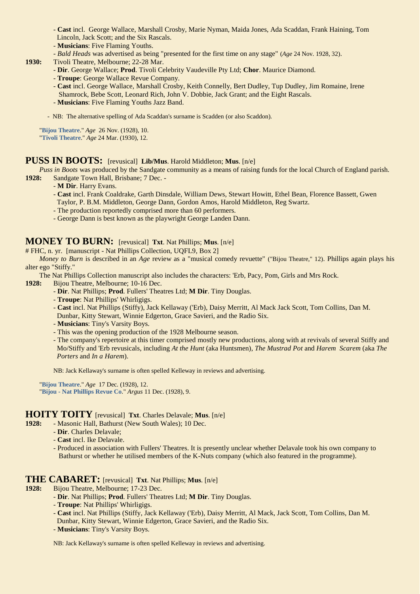- **Cast** incl. George Wallace, Marshall Crosby, Marie Nyman, Maida Jones, Ada Scaddan, Frank Haining, Tom Lincoln, Jack Scott; and the Six Rascals.
- **Musicians**: Five Flaming Youths.
- *Bald Heads* was advertised as being "presented for the first time on any stage" (*Age* 24 Nov. 1928, 32).
- **1930:** Tivoli Theatre, Melbourne; 22-28 Mar.
	- **Dir**. George Wallace; **Prod**. Tivoli Celebrity Vaudeville Pty Ltd; **Chor**. Maurice Diamond.
	- **Troupe**: George Wallace Revue Company.
	- **Cast** incl. George Wallace, Marshall Crosby, Keith Connelly, Bert Dudley, Tup Dudley, Jim Romaine, Irene Shamrock, Bebe Scott, Leonard Rich, John V. Dobbie, Jack Grant; and the Eight Rascals.
	- **Musicians**: Five Flaming Youths Jazz Band.

- NB: The alternative spelling of Ada Scaddan's surname is Scadden (or also Scaddon).

"**[Bijou Theatre](http://trove.nla.gov.au/ndp/del/page/18869419)**." *Age* 26 Nov. (1928), 10. "**[Tivoli Theatre](http://trove.nla.gov.au/ndp/del/page/18959355)**." *Age* 24 Mar. (1930), 12.

#### **PUSS IN BOOTS:** [revusical] **Lib/Mus**. Harold Middleton; **Mus**. [n/e]

*Puss in Boots* was produced by the Sandgate community as a means of raising funds for the local Church of England parish. **1928:** Sandgate Town Hall, Brisbane; 7 Dec. -

- **M Dir**. Harry Evans.
- **Cast** incl. Frank Coaldrake, Garth Dinsdale, William Dews, Stewart Howitt, Ethel Bean, Florence Bassett, Gwen Taylor, P. B.M. Middleton, George Dann, Gordon Amos, Harold Middleton, Reg Swartz.
- The production reportedly comprised more than 60 performers.
- George Dann is best known as the playwright George Landen Dann.

#### **MONEY TO BURN:** [revusical] **Txt**. Nat Phillips; **Mus**. [n/e]

# FHC, n. yr. [manuscript - Nat Phillips Collection, UQFL9, Box 2]

*Money to Burn* is described in an *Age* review as a "musical comedy revuette" ("Bijou Theatre," 12). Phillips again plays his alter ego "Stiffy."

The Nat Phillips Collection manuscript also includes the characters: 'Erb, Pacy, Pom, Girls and Mrs Rock.

- **1928:** Bijou Theatre, Melbourne; 10-16 Dec.
	- **Dir**. Nat Phillips; **Prod**. Fullers' Theatres Ltd; **M Dir**. Tiny Douglas.
	- **Troupe**: Nat Phillips' Whirligigs.
	- **Cast** incl. Nat Phillips (Stiffy), Jack Kellaway ('Erb), Daisy Merritt, Al Mack Jack Scott, Tom Collins, Dan M.
	- Dunbar, Kitty Stewart, Winnie Edgerton, Grace Savieri, and the Radio Six.
	- **Musicians**: Tiny's Varsity Boys.
	- This was the opening production of the 1928 Melbourne season.
	- The company's repertoire at this timer comprised mostly new productions, along with at revivals of several Stiffy and Mo/Stiffy and 'Erb revusicals, including *At the Hunt* (aka Huntsmen), *The Mustrad Pot* and *Harem Scarem* (aka *The Porters* and *In a Harem*).

NB: Jack Kellaway's surname is often spelled Kelleway in reviews and advertising.

"**[Bijou Theatre](http://trove.nla.gov.au/ndp/del/page/18869785)**." *Age* 17 Dec. (1928), 12. "**Bijou - [Nat Phillips Revue Co](http://trove.nla.gov.au/ndp/del/page/466815)**." *Argus* 11 Dec. (1928), 9.

## **HOITY TOITY** [revusical] **Txt**. Charles Delavale; **Mus**. [n/e]

- **1928:** Masonic Hall, Bathurst (New South Wales); 10 Dec.
	- **Dir**. Charles Delavale;
	- **Cast** incl. Ike Delavale.
	- Produced in association with Fullers' Theatres. It is presently unclear whether Delavale took his own company to Bathurst or whether he utilised members of the K-Nuts company (which also featured in the programme).

#### **THE CABARET:** [revusical] **Txt**. Nat Phillips; **Mus**. [n/e]

- **1928:** Bijou Theatre, Melbourne; 17-23 Dec.
	- **Dir**. Nat Phillips; **Prod**. Fullers' Theatres Ltd; **M Dir**. Tiny Douglas.
	- **Troupe**: Nat Phillips' Whirligigs.
	- **Cast** incl. Nat Phillips (Stiffy, Jack Kellaway ('Erb), Daisy Merritt, Al Mack, Jack Scott, Tom Collins, Dan M.
	- Dunbar, Kitty Stewart, Winnie Edgerton, Grace Savieri, and the Radio Six.
	- **Musicians**: Tiny's Varsity Boys.

NB: Jack Kellaway's surname is often spelled Kelleway in reviews and advertising.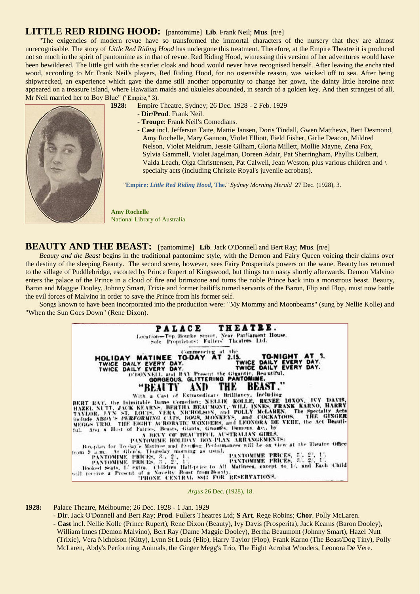# **LITTLE RED RIDING HOOD:** [pantomime] **Lib**. Frank Neil; **Mus**. [n/e]

"The exigencies of modern revue have so transformed the immortal characters of the nursery that they are almost unrecognisable. The story of *Little Red Riding Hood* has undergone this treatment. Therefore, at the Empire Theatre it is produced not so much in the spirit of pantomime as in that of revue. Red Riding Hood, witnessing this version of her adventures would have been bewildered. The little girl with the scarlet cloak and hood would never have recognised herself. After leaving the enchanted wood, according to Mr Frank Neil's players, Red Riding Hood, for no ostensible reason, was wicked off to sea. After being shipwrecked, an experience which gave the dame still another opportunity to change her gown, the dainty little heroine next appeared on a treasure island, where Hawaiian maids and ukuleles abounded, in search of a golden key. And then strangest of all, Mr Neil married her to Boy Blue" ("Empire," 3).

- **1928:** Empire Theatre, Sydney; 26 Dec. 1928 2 Feb. 1929
	- **Dir/Prod**. Frank Neil.
	- **Troupe**: Frank Neil's Comedians.
	- **Cast** incl. Jefferson Taite, Mattie Jansen, Doris Tindall, Gwen Matthews, Bert Desmond, Amy Rochelle, Mary Gannon, Violet Elliott, Field Fisher, Girlie Deacon, Mildred Nelson, Violet Meldrum, Jessie Gilham, Gloria Millett, Mollie Mayne, Zena Fox, Sylvia Gammell, Violet Jagelman, Doreen Adair, Pat Sherringham, Phyllis Culbert, Valda Leach, Olga Christtensen, Pat Calwell, Jean Weston, plus various children and \ specialty acts (including Chrissie Royal's juvenile acrobats).

"**Empire:** *[Little Red Riding Hood](http://trove.nla.gov.au/ndp/del/page/1199337?)***, The**." *Sydney Morning Herald* 27 Dec. (1928), 3.

**Amy Rochelle** National Library of Australia

#### **BEAUTY AND THE BEAST:** [pantomime] **Lib**. Jack O'Donnell and Bert Ray; **Mus**. [n/e]

*Beauty and the Beast* begins in the traditional pantomime style, with the Demon and Fairy Queen voicing their claims over the destiny of the sleeping Beauty. The second scene, however, sees Fairy Prosperita's powers on the wane. Beauty has returned to the village of Puddlebridge, escorted by Prince Rupert of Kingswood, but things turn nasty shortly afterwards. Demon Malvino enters the palace of the Prince in a cloud of fire and brimstone and turns the noble Prince back into a monstrous beast. Beauty, Baron and Maggie Dooley, Johnny Smart, Trixie and former bailiffs turned servants of the Baron, Flip and Flop, must now battle the evil forces of Malvino in order to save the Prince from his former self.

Songs known to have been incorporated into the production were: "My Mommy and Moonbeams" (sung by Nellie Kolle) and "When the Sun Goes Down" (Rene Dixon).



**1928:** Palace Theatre, Melbourne; 26 Dec. 1928 - 1 Jan. 1929

- **Dir**. Jack O'Donnell and Bert Ray; **Prod**. Fullers Theatres Ltd; **S Art**. Rege Robins; **Chor**. Polly McLaren. - **Cast** incl. Nellie Kolle (Prince Rupert), Rene Dixon (Beauty), Ivy Davis (Prosperita), Jack Kearns (Baron Dooley), William Innes (Demon Malvino), Bert Ray (Dame Maggie Dooley), Bertha Beaumont (Johnny Smart), Hazel Nutt (Trixie), Vera Nicholson (Kitty), Lynn St Louis (Flip), Harry Taylor (Flop), Frank Karno (The Beast/Dog Tiny), Polly McLaren, Abdy's Performing Animals, the Ginger Megg's Trio, The Eight Acrobat Wonders, Leonora De Vere.